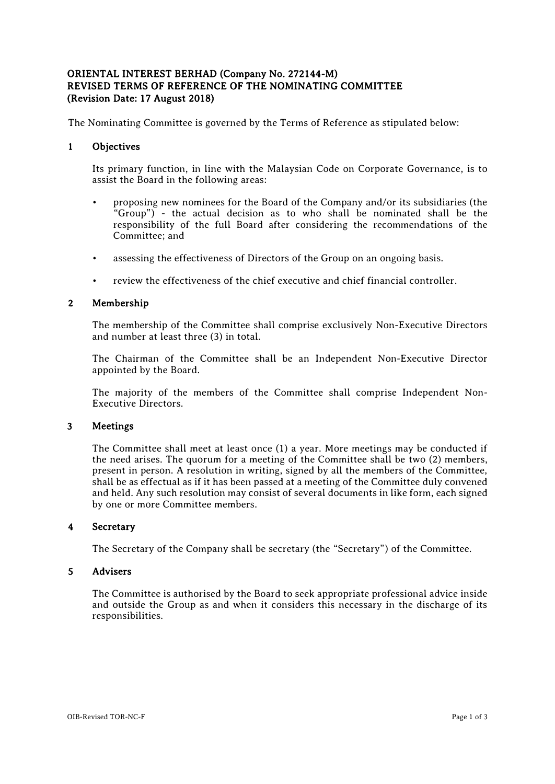# ORIENTAL INTEREST BERHAD (Company No. 272144-M) REVISED TERMS OF REFERENCE OF THE NOMINATING COMMITTEE (Revision Date: 17 August 2018)

The Nominating Committee is governed by the Terms of Reference as stipulated below:

# 1 Objectives

Its primary function, in line with the Malaysian Code on Corporate Governance, is to assist the Board in the following areas:

- proposing new nominees for the Board of the Company and/or its subsidiaries (the "Group") - the actual decision as to who shall be nominated shall be the responsibility of the full Board after considering the recommendations of the Committee; and
- assessing the effectiveness of Directors of the Group on an ongoing basis.
- review the effectiveness of the chief executive and chief financial controller.

# 2 Membership

The membership of the Committee shall comprise exclusively Non-Executive Directors and number at least three (3) in total.

The Chairman of the Committee shall be an Independent Non-Executive Director appointed by the Board.

The majority of the members of the Committee shall comprise Independent Non-Executive Directors.

### 3 Meetings

The Committee shall meet at least once (1) a year. More meetings may be conducted if the need arises. The quorum for a meeting of the Committee shall be two (2) members, present in person. A resolution in writing, signed by all the members of the Committee, shall be as effectual as if it has been passed at a meeting of the Committee duly convened and held. Any such resolution may consist of several documents in like form, each signed by one or more Committee members.

# 4 Secretary

The Secretary of the Company shall be secretary (the "Secretary") of the Committee.

### 5 Advisers

The Committee is authorised by the Board to seek appropriate professional advice inside and outside the Group as and when it considers this necessary in the discharge of its responsibilities.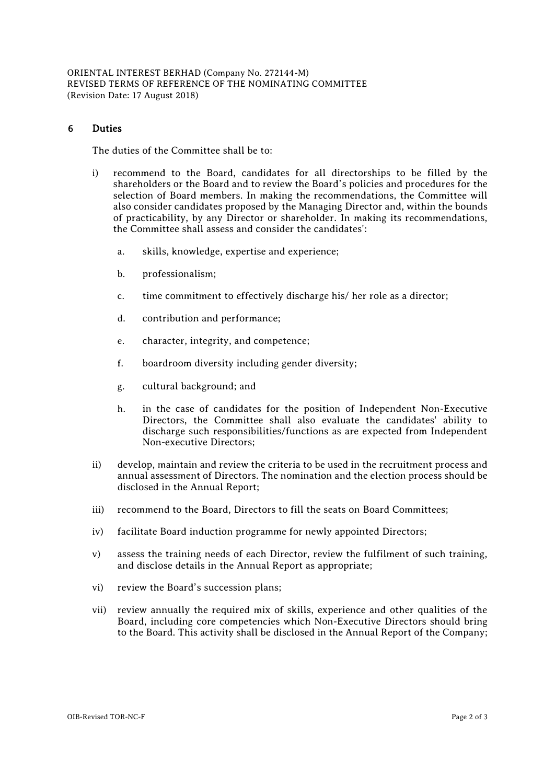#### 6 Duties

The duties of the Committee shall be to:

- i) recommend to the Board, candidates for all directorships to be filled by the shareholders or the Board and to review the Board's policies and procedures for the selection of Board members. In making the recommendations, the Committee will also consider candidates proposed by the Managing Director and, within the bounds of practicability, by any Director or shareholder. In making its recommendations, the Committee shall assess and consider the candidates':
	- a. skills, knowledge, expertise and experience;
	- b. professionalism;
	- c. time commitment to effectively discharge his/ her role as a director;
	- d. contribution and performance;
	- e. character, integrity, and competence;
	- f. boardroom diversity including gender diversity;
	- g. cultural background; and
	- h. in the case of candidates for the position of Independent Non-Executive Directors, the Committee shall also evaluate the candidates' ability to discharge such responsibilities/functions as are expected from Independent Non-executive Directors;
- ii) develop, maintain and review the criteria to be used in the recruitment process and annual assessment of Directors. The nomination and the election process should be disclosed in the Annual Report;
- iii) recommend to the Board, Directors to fill the seats on Board Committees;
- iv) facilitate Board induction programme for newly appointed Directors;
- v) assess the training needs of each Director, review the fulfilment of such training, and disclose details in the Annual Report as appropriate;
- vi) review the Board's succession plans;
- vii) review annually the required mix of skills, experience and other qualities of the Board, including core competencies which Non-Executive Directors should bring to the Board. This activity shall be disclosed in the Annual Report of the Company;